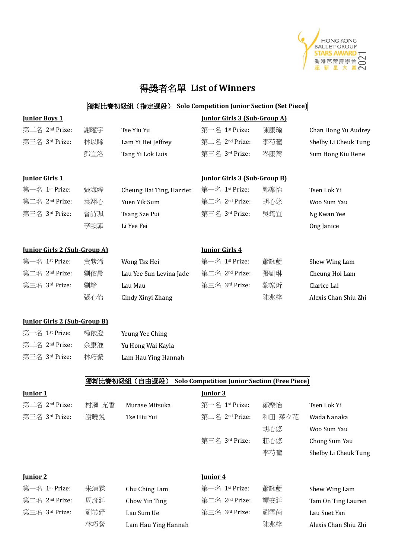

# 得獎者名單 **List of Winners**

### 獨舞比賽初級組(指定選段) **Solo Competition Junior Section (Set Piece)**

| <b>Junior Boys 1</b>                |       |                          | <b>Junior Girls 3 (Sub-Group A)</b>                 |        |                      |
|-------------------------------------|-------|--------------------------|-----------------------------------------------------|--------|----------------------|
| 第二名 2nd Prize:                      | 謝曜宇   | Tse Yiu Yu               | 第一名 1st Prize:                                      | 陳康瑜    | Chan Hong Yu Audrey  |
| 第三名 3rd Prize:                      | 林以睎   | Lam Yi Hei Jeffrey       | 第二名 2nd Prize:                                      | 李芍曈    | Shelby Li Cheuk Tung |
|                                     | 鄧宜洛   | Tang Yi Lok Luis         | 第三名 3rd Prize:                                      | 岑康蕎    | Sum Hong Kiu Rene    |
| <b>Junior Girls 1</b>               |       |                          | <b>Junior Girls 3 (Sub-Group B)</b>                 |        |                      |
| 第一名 1st Prize:                      | 張海婷   | Cheung Hai Ting, Harriet | 第一名 1st Prize:                                      | 鄭樂怡    | Tsen Lok Yi          |
| 第二名 2nd Prize:                      | 袁翊心   | Yuen Yik Sum             | 第二名 2nd Prize:                                      | 胡心悠    | Woo Sum Yau          |
| 第三名 3rd Prize:                      | 曾詩珮   | Tsang Sze Pui            | 第三名 3rd Prize:                                      | 吳筠宜    | Ng Kwan Yee          |
|                                     | 李頣霏   | Li Yee Fei               |                                                     |        | Ong Janice           |
| <b>Junior Girls 2 (Sub-Group A)</b> |       |                          | <b>Junior Girls 4</b>                               |        |                      |
| 第一名 1st Prize:                      | 黃紫浠   | Wong Tsz Hei             | 第一名 1st Prize:                                      | 蕭詠藍    | Shew Wing Lam        |
| 第二名 2nd Prize:                      | 劉依晨   | Lau Yee Sun Levina Jade  | 第二名 2nd Prize:                                      | 張凱琳    | Cheung Hoi Lam       |
| 第三名 3rd Prize:                      | 劉謐    | Lau Mau                  | 第三名 3rd Prize:                                      | 黎樂炘    | Clarice Lai          |
|                                     | 張心怡   | Cindy Xinyi Zhang        |                                                     | 陳兆梓    | Alexis Chan Shiu Zhi |
| <b>Junior Girls 2 (Sub-Group B)</b> |       |                          |                                                     |        |                      |
| 第一名 1st Prize:                      | 楊依澄   | Yeung Yee Ching          |                                                     |        |                      |
| 第二名 2nd Prize:                      | 余康淮   | Yu Hong Wai Kayla        |                                                     |        |                      |
| 第三名 3rd Prize:                      | 林巧縈   | Lam Hau Ying Hannah      |                                                     |        |                      |
|                                     |       | 獨舞比賽初級組 (自由選段)           | <b>Solo Competition Junior Section (Free Piece)</b> |        |                      |
| <b>Junior 1</b>                     |       |                          | <b>Junior 3</b>                                     |        |                      |
| 第二名 2nd Prize:                      | 村瀬 充香 | Murase Mitsuka           | 第一名 1st Prize:                                      | 鄭樂怡    | Tsen Lok Yi          |
| 第三名 3rd Prize:                      | 謝曉鋭   | Tse Hiu Yui              | 第二名 2nd Prize:                                      | 和田 菜々花 | Wada Nanaka          |
|                                     |       |                          |                                                     | 胡心悠    | Woo Sum Yau          |
|                                     |       |                          | 第三名 3rd Prize:                                      | 莊心悠    | Chong Sum Yau        |
|                                     |       |                          |                                                     | 李芍曈    | Shelby Li Cheuk Tung |
| Junior 2                            |       |                          | <u><b>Junior 4</b></u>                              |        |                      |
| 第一名 1st Prize:                      | 朱清霖   | Chu Ching Lam            | 第一名 1st Prize:                                      | 蕭詠藍    | Shew Wing Lam        |
| 第二名 2nd Prize:                      | 周彥廷   | Chow Yin Ting            | 第二名 2 <sup>nd</sup> Prize:                          | 譚安廷    | Tam On Ting Lauren   |
| 第三名 3rd Prize:                      | 劉芯妤   | Lau Sum Ue               | 第三名 3rd Prize:                                      | 劉雪茵    | Lau Suet Yan         |

林巧縈 Lam Hau Ying Hannah **Kang Times 医** 陳兆梓 Alexis Chan Shiu Zhi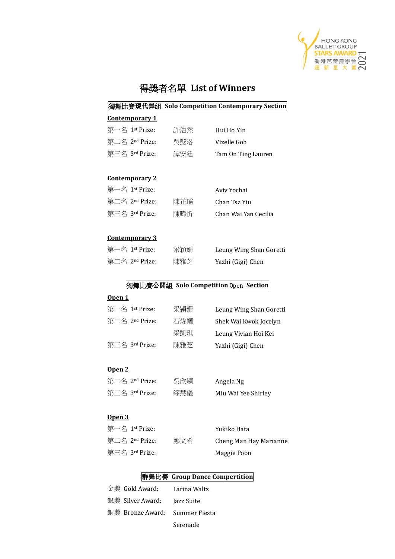

## 得獎者名單 **List of Winners**

### 獨舞比賽現代舞組 **Solo Competition Contemporary Section**

#### **Contemporary 1**

| 第一名 1st Prize: | 許浩然 | Hui Ho Yin         |
|----------------|-----|--------------------|
| 第二名 2nd Prize: | 吳懿洛 | Vizelle Goh        |
| 第三名 3rd Prize: | 譚安廷 | Tam On Ting Lauren |

#### **Contemporary 2**

| 第一名 1st Prize: |     | Aviv Yochai          |
|----------------|-----|----------------------|
| 第二名 2nd Prize: | 陳芷瑶 | Chan Tsz Yiu         |
| 第三名 3rd Prize: | 陳暐忻 | Chan Wai Yan Cecilia |

#### **Contemporary 3**

| 第一名 1st Prize: | 梁穎姍 | Leung Wing Shan Goretti |
|----------------|-----|-------------------------|
| 第二名 2nd Prize: | 陳雅芝 | Yazhi (Gigi) Chen       |

### 獨舞比賽公開組 **Solo Competition** Open **Section**

### **Open 1**

| 第一名 1st Prize: | 梁穎姍 | Leung Wing Shan Goretti |
|----------------|-----|-------------------------|
| 第二名 2nd Prize: | 石煒幗 | Shek Wai Kwok Jocelyn   |
|                | 梁凱琪 | Leung Vivian Hoi Kei    |
| 第三名 3rd Prize: | 陳雅芝 | Yazhi (Gigi) Chen       |
|                |     |                         |

### **Open 2**

| 第二名 2nd Prize: | 吳欣穎 | Angela Ng           |
|----------------|-----|---------------------|
| 第三名 3rd Prize: | 繆慧儀 | Miu Wai Yee Shirley |

### **Open 3**

| 第一名 1st Prize: |     | Yukiko Hata            |
|----------------|-----|------------------------|
| 第二名 2nd Prize: | 鄭文希 | Cheng Man Hay Marianne |
| 第三名 3rd Prize: |     | Maggie Poon            |

### 群舞比賽 **Group Dance Compertition**

| 金獎 Gold Award: Larina Waltz    |          |
|--------------------------------|----------|
| 銀獎 Silver Award: Jazz Suite    |          |
| 銅獎 Bronze Award: Summer Fiesta |          |
|                                | Serenade |